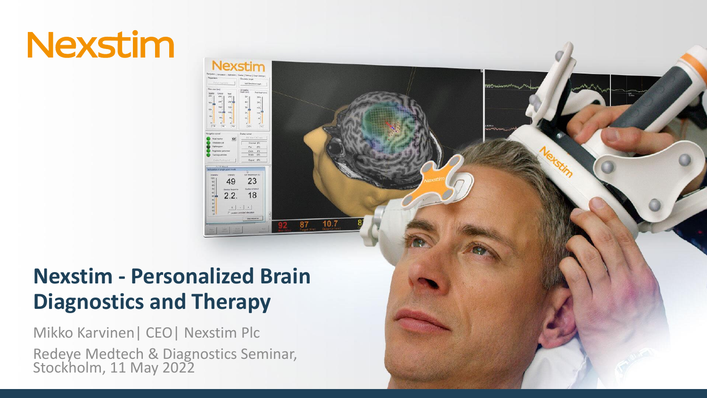## **Nexstim - Personalized Brain Diagnostics and Therapy**

Jexstim

23

18

87

 $10<sup>2</sup>$ 

49  $2.2.$ 

Mikko Karvinen| CEO| Nexstim Plc Redeye Medtech & Diagnostics Seminar, Stockholm, 11 May 2022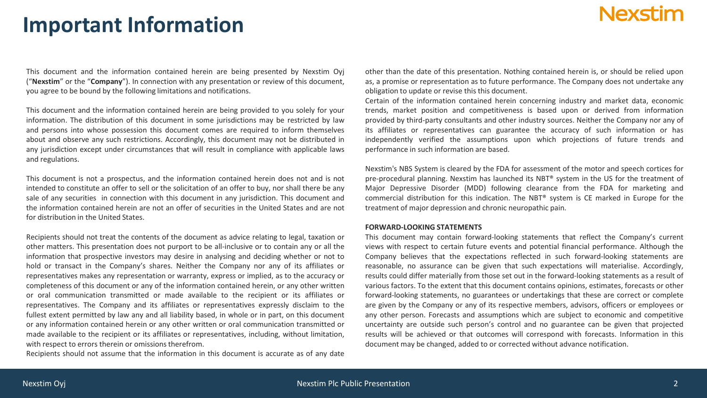### **Important Information**

This document and the information contained herein are being presented by Nexstim Oyj ("**Nexstim**" or the "**Company**"). In connection with any presentation or review of this document, you agree to be bound by the following limitations and notifications.

This document and the information contained herein are being provided to you solely for your information. The distribution of this document in some jurisdictions may be restricted by law and persons into whose possession this document comes are required to inform themselves about and observe any such restrictions. Accordingly, this document may not be distributed in any jurisdiction except under circumstances that will result in compliance with applicable laws and regulations.

This document is not a prospectus, and the information contained herein does not and is not intended to constitute an offer to sell or the solicitation of an offer to buy, nor shall there be any sale of any securities in connection with this document in any jurisdiction. This document and the information contained herein are not an offer of securities in the United States and are not for distribution in the United States.

Recipients should not treat the contents of the document as advice relating to legal, taxation or other matters. This presentation does not purport to be all-inclusive or to contain any or all the information that prospective investors may desire in analysing and deciding whether or not to hold or transact in the Company's shares. Neither the Company nor any of its affiliates or representatives makes any representation or warranty, express or implied, as to the accuracy or completeness of this document or any of the information contained herein, or any other written or oral communication transmitted or made available to the recipient or its affiliates or representatives. The Company and its affiliates or representatives expressly disclaim to the fullest extent permitted by law any and all liability based, in whole or in part, on this document or any information contained herein or any other written or oral communication transmitted or made available to the recipient or its affiliates or representatives, including, without limitation, with respect to errors therein or omissions therefrom.

Recipients should not assume that the information in this document is accurate as of any date

other than the date of this presentation. Nothing contained herein is, or should be relied upon as, a promise or representation as to future performance. The Company does not undertake any obligation to update or revise this this document.

Certain of the information contained herein concerning industry and market data, economic trends, market position and competitiveness is based upon or derived from information provided by third-party consultants and other industry sources. Neither the Company nor any of its affiliates or representatives can guarantee the accuracy of such information or has independently verified the assumptions upon which projections of future trends and performance in such information are based.

Nexstim's NBS System is cleared by the FDA for assessment of the motor and speech cortices for pre-procedural planning. Nexstim has launched its NBT® system in the US for the treatment of Major Depressive Disorder (MDD) following clearance from the FDA for marketing and commercial distribution for this indication. The NBT® system is CE marked in Europe for the treatment of major depression and chronic neuropathic pain.

### **FORWARD-LOOKING STATEMENTS**

This document may contain forward-looking statements that reflect the Company's current views with respect to certain future events and potential financial performance. Although the Company believes that the expectations reflected in such forward-looking statements are reasonable, no assurance can be given that such expectations will materialise. Accordingly, results could differ materially from those set out in the forward-looking statements as a result of various factors. To the extent that this document contains opinions, estimates, forecasts or other forward-looking statements, no guarantees or undertakings that these are correct or complete are given by the Company or any of its respective members, advisors, officers or employees or any other person. Forecasts and assumptions which are subject to economic and competitive uncertainty are outside such person's control and no guarantee can be given that projected results will be achieved or that outcomes will correspond with forecasts. Information in this document may be changed, added to or corrected without advance notification.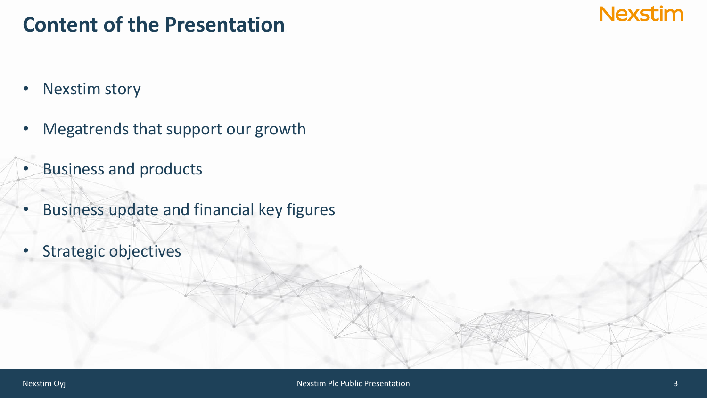### **Content of the Presentation**

**Nexstim** 

- Nexstim story
- Megatrends that support our growth
- Business and products
- Business update and financial key figures
- Strategic objectives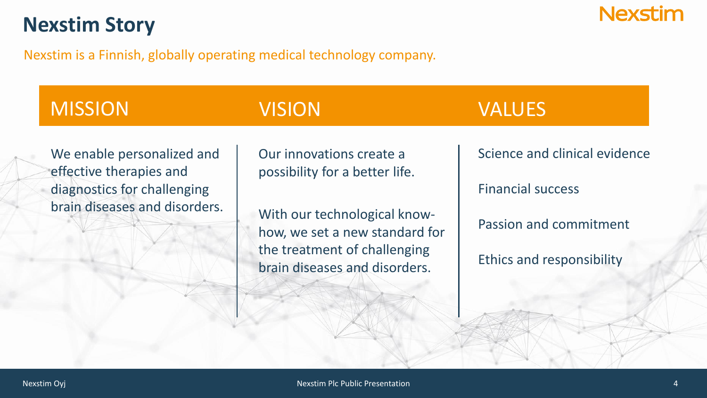### **Nexstim Story**

Nexstim is a Finnish, globally operating medical technology company.

### MISSION VISION VISION VALUES

### We enable personalized and effective therapies and diagnostics for challenging brain diseases and disorders.

Our innovations create a possibility for a better life.

With our technological knowhow, we set a new standard for the treatment of challenging brain diseases and disorders.

Science and clinical evidence

**Nexstim** 

Financial success

Passion and commitment

Ethics and responsibility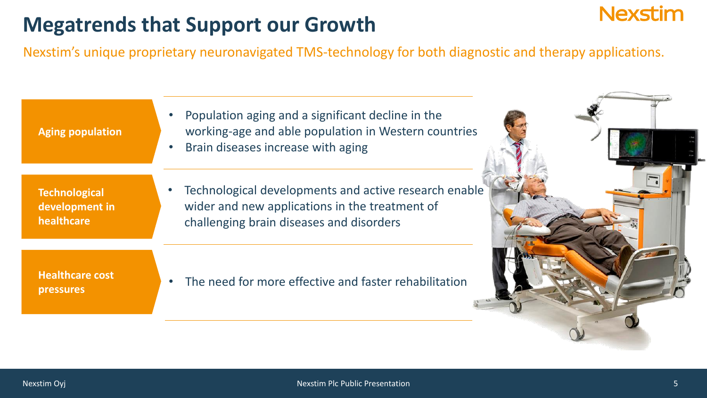### **Megatrends that Support our Growth**

Nexstim's unique proprietary neuronavigated TMS-technology for both diagnostic and therapy applications.

**Aging population**

**Technological development in healthcare**

**Healthcare cost pressures** 

- Population aging and a significant decline in the working-age and able population in Western countries
- Brain diseases increase with aging
- Technological developments and active research enable wider and new applications in the treatment of challenging brain diseases and disorders

The need for more effective and faster rehabilitation



**Nexstim**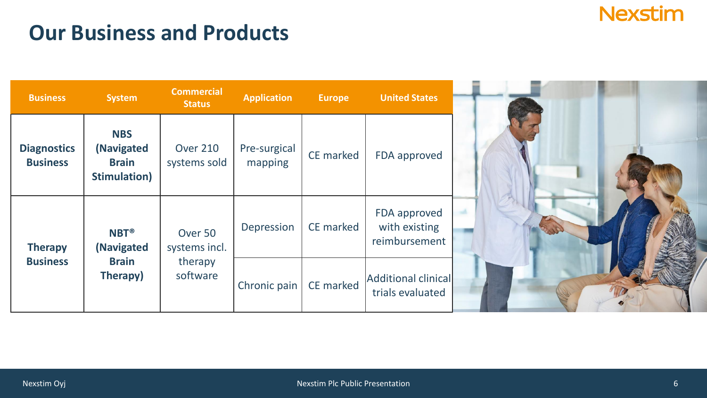### **Our Business and Products**

| <b>Business</b>                       | <b>System</b>                                                    | <b>Commercial</b><br><b>Status</b> | <b>Application</b>      | Europe    | <b>United States</b>                           |
|---------------------------------------|------------------------------------------------------------------|------------------------------------|-------------------------|-----------|------------------------------------------------|
| <b>Diagnostics</b><br><b>Business</b> | <b>NBS</b><br>(Navigated<br><b>Brain</b><br><b>Stimulation</b> ) | <b>Over 210</b><br>systems sold    | Pre-surgical<br>mapping | CE marked | FDA approved                                   |
| <b>Therapy</b>                        | <b>NBT®</b><br>(Navigated                                        | Over 50<br>systems incl.           | Depression              | CE marked | FDA approved<br>with existing<br>reimbursement |
| <b>Business</b>                       | <b>Brain</b><br>Therapy)                                         | therapy<br>software                | Chronic pain            | CE marked | Additional clinical<br>trials evaluated        |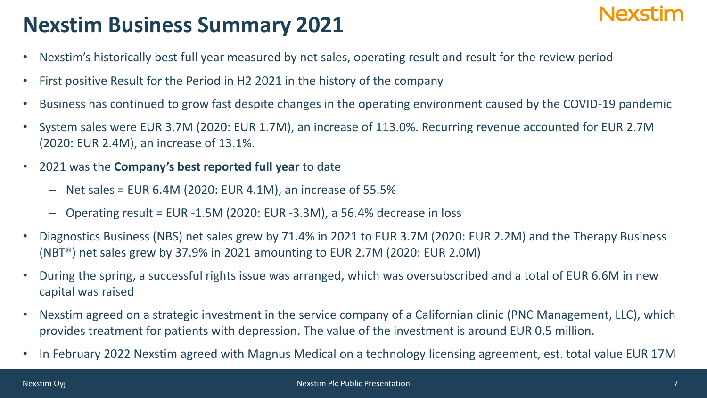## **Nexstim Business Summary 2021**

- Nexstim's historically best full year measured by net sales, operating result and result for the review period
- First positive Result for the Period in H2 2021 in the history of the company
- Business has continued to grow fast despite changes in the operating environment caused by the COVID-19 pandemic
- System sales were EUR 3.7M (2020: EUR 1.7M), an increase of 113.0%. Recurring revenue accounted for EUR 2.7M (2020: EUR 2.4M), an increase of 13.1%.
- 2021 was the **Company's best reported full year** to date
	- $-$  Net sales = EUR 6.4M (2020: EUR 4.1M), an increase of 55.5%
	- ‒ Operating result = EUR -1.5M (2020: EUR -3.3M), a 56.4% decrease in loss
- Diagnostics Business (NBS) net sales grew by 71.4% in 2021 to EUR 3.7M (2020: EUR 2.2M) and the Therapy Business (NBT®) net sales grew by 37.9% in 2021 amounting to EUR 2.7M (2020: EUR 2.0M)
- During the spring, a successful rights issue was arranged, which was oversubscribed and a total of EUR 6.6M in new capital was raised
- Nexstim agreed on a strategic investment in the service company of a Californian clinic (PNC Management, LLC), which provides treatment for patients with depression. The value of the investment is around EUR 0.5 million.
- In February 2022 Nexstim agreed with Magnus Medical on a technology licensing agreement, est. total value EUR 17M

Nlavstim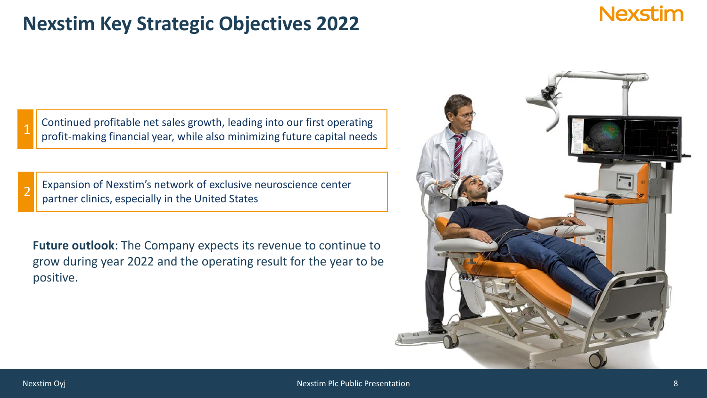### **Nexstim Key Strategic Objectives 2022**

1 Continued profitable net sales growth, leading into our first operating profit-making financial year, while also minimizing future capital needs

Expansion of Nexstim's network of exclusive neuroscience center partner clinics, especially in the United States

**Future outlook**: The Company expects its revenue to continue to grow during year 2022 and the operating result for the year to be positive.



2